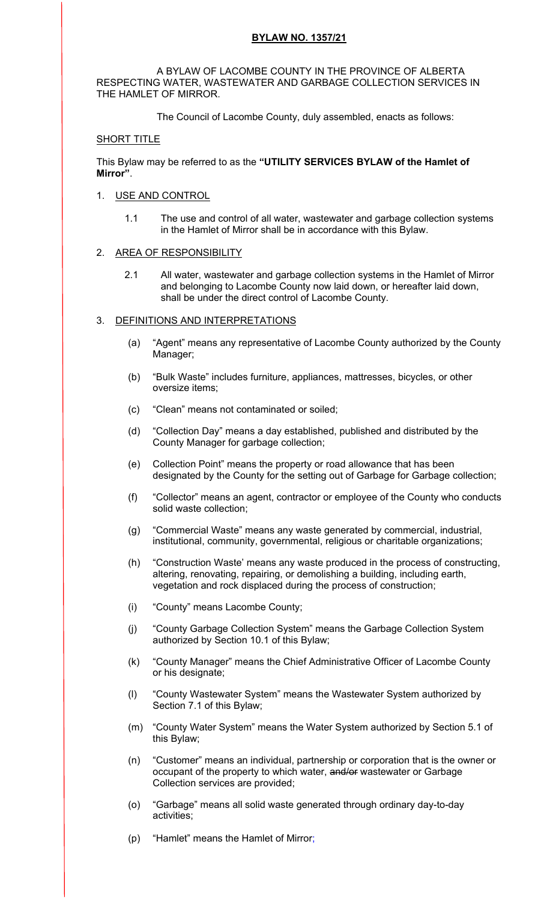## **BYLAW NO. 1357/21**

 A BYLAW OF LACOMBE COUNTY IN THE PROVINCE OF ALBERTA RESPECTING WATER, WASTEWATER AND GARBAGE COLLECTION SERVICES IN THE HAMLET OF MIRROR.

The Council of Lacombe County, duly assembled, enacts as follows:

### SHORT TITLE

This Bylaw may be referred to as the **"UTILITY SERVICES BYLAW of the Hamlet of Mirror"**.

### 1. USE AND CONTROL

1.1 The use and control of all water, wastewater and garbage collection systems in the Hamlet of Mirror shall be in accordance with this Bylaw.

### 2. AREA OF RESPONSIBILITY

2.1 All water, wastewater and garbage collection systems in the Hamlet of Mirror and belonging to Lacombe County now laid down, or hereafter laid down, shall be under the direct control of Lacombe County.

### 3. DEFINITIONS AND INTERPRETATIONS

- (a) "Agent" means any representative of Lacombe County authorized by the County Manager;
- (b) "Bulk Waste" includes furniture, appliances, mattresses, bicycles, or other oversize items;
- (c) "Clean" means not contaminated or soiled;
- (d) "Collection Day" means a day established, published and distributed by the County Manager for garbage collection;
- (e) Collection Point" means the property or road allowance that has been designated by the County for the setting out of Garbage for Garbage collection;
- (f) "Collector" means an agent, contractor or employee of the County who conducts solid waste collection;
- (g) "Commercial Waste" means any waste generated by commercial, industrial, institutional, community, governmental, religious or charitable organizations;
- (h) "Construction Waste' means any waste produced in the process of constructing, altering, renovating, repairing, or demolishing a building, including earth, vegetation and rock displaced during the process of construction;
- (i) "County" means Lacombe County;
- (j) "County Garbage Collection System" means the Garbage Collection System authorized by Section 10.1 of this Bylaw;
- (k) "County Manager" means the Chief Administrative Officer of Lacombe County or his designate;
- (l) "County Wastewater System" means the Wastewater System authorized by Section 7.1 of this Bylaw;
- (m) "County Water System" means the Water System authorized by Section 5.1 of this Bylaw;
- (n) "Customer" means an individual, partnership or corporation that is the owner or occupant of the property to which water, and/or wastewater or Garbage Collection services are provided;
- (o) "Garbage" means all solid waste generated through ordinary day-to-day activities;
- (p) "Hamlet" means the Hamlet of Mirror;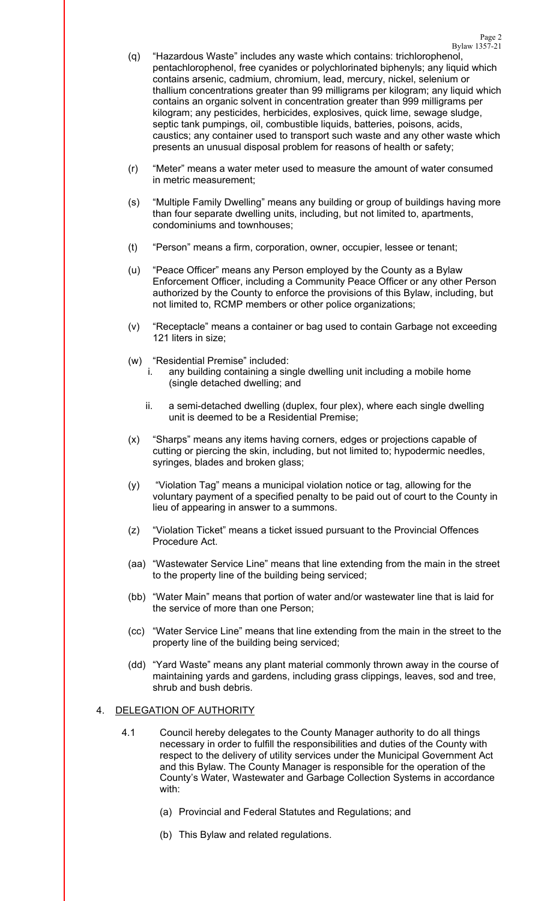Bylaw 1357-21 (q) "Hazardous Waste" includes any waste which contains: trichlorophenol, pentachlorophenol, free cyanides or polychlorinated biphenyls; any liquid which contains arsenic, cadmium, chromium, lead, mercury, nickel, selenium or thallium concentrations greater than 99 milligrams per kilogram; any liquid which contains an organic solvent in concentration greater than 999 milligrams per kilogram; any pesticides, herbicides, explosives, quick lime, sewage sludge, septic tank pumpings, oil, combustible liquids, batteries, poisons, acids, caustics; any container used to transport such waste and any other waste which presents an unusual disposal problem for reasons of health or safety;

Page 2

- (r) "Meter" means a water meter used to measure the amount of water consumed in metric measurement;
- (s) "Multiple Family Dwelling" means any building or group of buildings having more than four separate dwelling units, including, but not limited to, apartments, condominiums and townhouses;
- (t) "Person" means a firm, corporation, owner, occupier, lessee or tenant;
- (u) "Peace Officer" means any Person employed by the County as a Bylaw Enforcement Officer, including a Community Peace Officer or any other Person authorized by the County to enforce the provisions of this Bylaw, including, but not limited to, RCMP members or other police organizations;
- (v) "Receptacle" means a container or bag used to contain Garbage not exceeding 121 liters in size;
- (w) "Residential Premise" included:
	- i. any building containing a single dwelling unit including a mobile home (single detached dwelling; and
	- ii. a semi-detached dwelling (duplex, four plex), where each single dwelling unit is deemed to be a Residential Premise;
- (x) "Sharps" means any items having corners, edges or projections capable of cutting or piercing the skin, including, but not limited to; hypodermic needles, syringes, blades and broken glass;
- (y) "Violation Tag" means a municipal violation notice or tag, allowing for the voluntary payment of a specified penalty to be paid out of court to the County in lieu of appearing in answer to a summons.
- (z) "Violation Ticket" means a ticket issued pursuant to the Provincial Offences Procedure Act.
- (aa) "Wastewater Service Line" means that line extending from the main in the street to the property line of the building being serviced;
- (bb) "Water Main" means that portion of water and/or wastewater line that is laid for the service of more than one Person;
- (cc) "Water Service Line" means that line extending from the main in the street to the property line of the building being serviced;
- (dd) "Yard Waste" means any plant material commonly thrown away in the course of maintaining yards and gardens, including grass clippings, leaves, sod and tree, shrub and bush debris.

## 4. DELEGATION OF AUTHORITY

- 4.1 Council hereby delegates to the County Manager authority to do all things necessary in order to fulfill the responsibilities and duties of the County with respect to the delivery of utility services under the Municipal Government Act and this Bylaw. The County Manager is responsible for the operation of the County's Water, Wastewater and Garbage Collection Systems in accordance with:
	- (a) Provincial and Federal Statutes and Regulations; and
	- (b) This Bylaw and related regulations.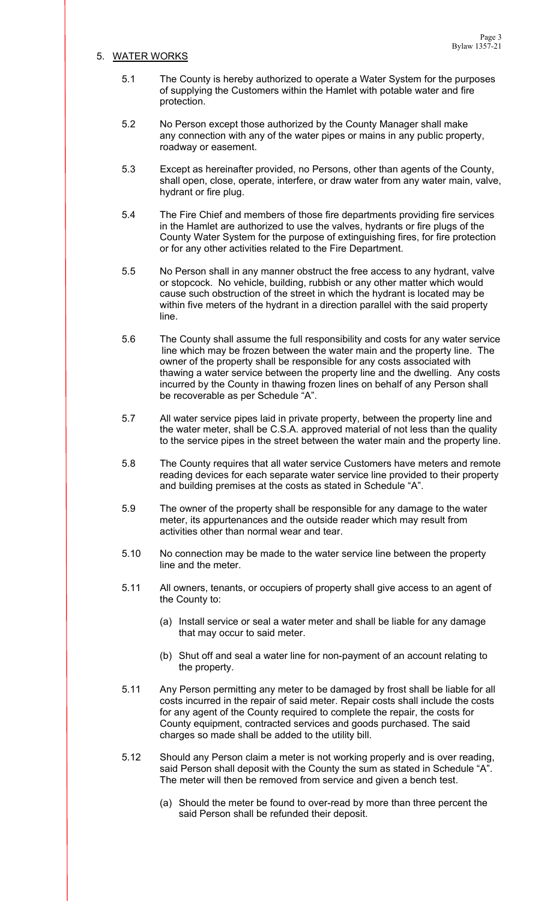### 5. WATER WORKS

- 5.1 The County is hereby authorized to operate a Water System for the purposes of supplying the Customers within the Hamlet with potable water and fire protection.
- 5.2 No Person except those authorized by the County Manager shall make any connection with any of the water pipes or mains in any public property, roadway or easement.
- 5.3 Except as hereinafter provided, no Persons, other than agents of the County, shall open, close, operate, interfere, or draw water from any water main, valve, hydrant or fire plug.
- 5.4 The Fire Chief and members of those fire departments providing fire services in the Hamlet are authorized to use the valves, hydrants or fire plugs of the County Water System for the purpose of extinguishing fires, for fire protection or for any other activities related to the Fire Department.
- 5.5 No Person shall in any manner obstruct the free access to any hydrant, valve or stopcock. No vehicle, building, rubbish or any other matter which would cause such obstruction of the street in which the hydrant is located may be within five meters of the hydrant in a direction parallel with the said property line.
- 5.6 The County shall assume the full responsibility and costs for any water service line which may be frozen between the water main and the property line. The owner of the property shall be responsible for any costs associated with thawing a water service between the property line and the dwelling. Any costs incurred by the County in thawing frozen lines on behalf of any Person shall be recoverable as per Schedule "A".
- 5.7 All water service pipes laid in private property, between the property line and the water meter, shall be C.S.A. approved material of not less than the quality to the service pipes in the street between the water main and the property line.
- 5.8 The County requires that all water service Customers have meters and remote reading devices for each separate water service line provided to their property and building premises at the costs as stated in Schedule "A".
- 5.9 The owner of the property shall be responsible for any damage to the water meter, its appurtenances and the outside reader which may result from activities other than normal wear and tear.
- 5.10 No connection may be made to the water service line between the property line and the meter.
- 5.11 All owners, tenants, or occupiers of property shall give access to an agent of the County to:
	- (a) Install service or seal a water meter and shall be liable for any damage that may occur to said meter.
	- (b) Shut off and seal a water line for non-payment of an account relating to the property.
- 5.11 Any Person permitting any meter to be damaged by frost shall be liable for all costs incurred in the repair of said meter. Repair costs shall include the costs for any agent of the County required to complete the repair, the costs for County equipment, contracted services and goods purchased. The said charges so made shall be added to the utility bill.
- 5.12 Should any Person claim a meter is not working properly and is over reading, said Person shall deposit with the County the sum as stated in Schedule "A". The meter will then be removed from service and given a bench test.
	- (a) Should the meter be found to over-read by more than three percent the said Person shall be refunded their deposit.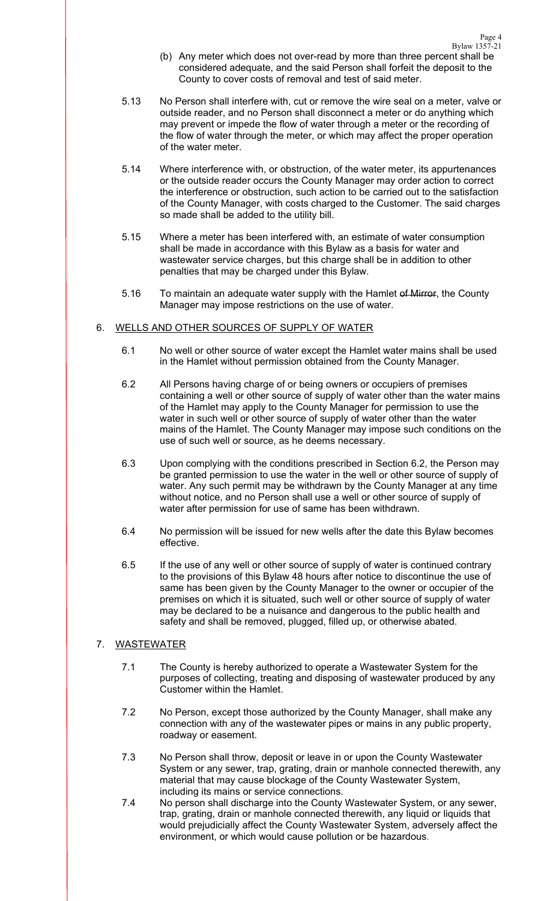Bylaw 1357-21 (b) Any meter which does not over-read by more than three percent shall be considered adequate, and the said Person shall forfeit the deposit to the County to cover costs of removal and test of said meter.

Page 4

- 5.13 No Person shall interfere with, cut or remove the wire seal on a meter, valve or outside reader, and no Person shall disconnect a meter or do anything which may prevent or impede the flow of water through a meter or the recording of the flow of water through the meter, or which may affect the proper operation of the water meter.
- 5.14 Where interference with, or obstruction, of the water meter, its appurtenances or the outside reader occurs the County Manager may order action to correct the interference or obstruction, such action to be carried out to the satisfaction of the County Manager, with costs charged to the Customer. The said charges so made shall be added to the utility bill.
- 5.15 Where a meter has been interfered with, an estimate of water consumption shall be made in accordance with this Bylaw as a basis for water and wastewater service charges, but this charge shall be in addition to other penalties that may be charged under this Bylaw.
- 5.16 To maintain an adequate water supply with the Hamlet of Mirror, the County Manager may impose restrictions on the use of water.

# 6. WELLS AND OTHER SOURCES OF SUPPLY OF WATER

- 6.1 No well or other source of water except the Hamlet water mains shall be used in the Hamlet without permission obtained from the County Manager.
- 6.2 All Persons having charge of or being owners or occupiers of premises containing a well or other source of supply of water other than the water mains of the Hamlet may apply to the County Manager for permission to use the water in such well or other source of supply of water other than the water mains of the Hamlet. The County Manager may impose such conditions on the use of such well or source, as he deems necessary.
- 6.3 Upon complying with the conditions prescribed in Section 6.2, the Person may be granted permission to use the water in the well or other source of supply of water. Any such permit may be withdrawn by the County Manager at any time without notice, and no Person shall use a well or other source of supply of water after permission for use of same has been withdrawn.
- 6.4 No permission will be issued for new wells after the date this Bylaw becomes effective.
- 6.5 If the use of any well or other source of supply of water is continued contrary to the provisions of this Bylaw 48 hours after notice to discontinue the use of same has been given by the County Manager to the owner or occupier of the premises on which it is situated, such well or other source of supply of water may be declared to be a nuisance and dangerous to the public health and safety and shall be removed, plugged, filled up, or otherwise abated.

# 7. WASTEWATER

- 7.1 The County is hereby authorized to operate a Wastewater System for the purposes of collecting, treating and disposing of wastewater produced by any Customer within the Hamlet.
- 7.2 No Person, except those authorized by the County Manager, shall make any connection with any of the wastewater pipes or mains in any public property, roadway or easement.
- 7.3 No Person shall throw, deposit or leave in or upon the County Wastewater System or any sewer, trap, grating, drain or manhole connected therewith, any material that may cause blockage of the County Wastewater System, including its mains or service connections.
- 7.4 No person shall discharge into the County Wastewater System, or any sewer, trap, grating, drain or manhole connected therewith, any liquid or liquids that would prejudicially affect the County Wastewater System, adversely affect the environment, or which would cause pollution or be hazardous.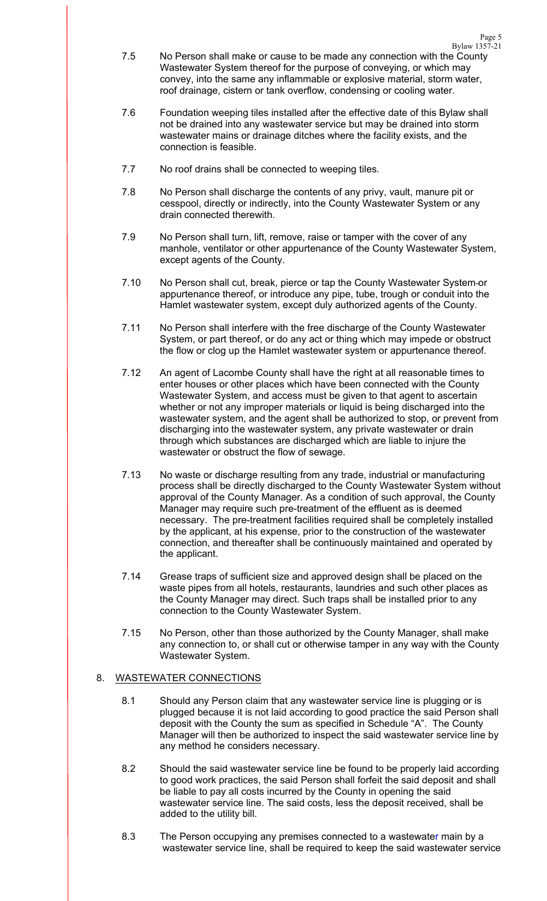Bylaw 1357-21 7.5 No Person shall make or cause to be made any connection with the County Wastewater System thereof for the purpose of conveying, or which may convey, into the same any inflammable or explosive material, storm water, roof drainage, cistern or tank overflow, condensing or cooling water.

Page 5

- 7.6 Foundation weeping tiles installed after the effective date of this Bylaw shall not be drained into any wastewater service but may be drained into storm wastewater mains or drainage ditches where the facility exists, and the connection is feasible.
- 7.7 No roof drains shall be connected to weeping tiles.
- 7.8 No Person shall discharge the contents of any privy, vault, manure pit or cesspool, directly or indirectly, into the County Wastewater System or any drain connected therewith.
- 7.9 No Person shall turn, lift, remove, raise or tamper with the cover of any manhole, ventilator or other appurtenance of the County Wastewater System, except agents of the County.
- 7.10 No Person shall cut, break, pierce or tap the County Wastewater System or appurtenance thereof, or introduce any pipe, tube, trough or conduit into the Hamlet wastewater system, except duly authorized agents of the County.
- 7.11 No Person shall interfere with the free discharge of the County Wastewater System, or part thereof, or do any act or thing which may impede or obstruct the flow or clog up the Hamlet wastewater system or appurtenance thereof.
- 7.12 An agent of Lacombe County shall have the right at all reasonable times to enter houses or other places which have been connected with the County Wastewater System, and access must be given to that agent to ascertain whether or not any improper materials or liquid is being discharged into the wastewater system, and the agent shall be authorized to stop, or prevent from discharging into the wastewater system, any private wastewater or drain through which substances are discharged which are liable to injure the wastewater or obstruct the flow of sewage.
- 7.13 No waste or discharge resulting from any trade, industrial or manufacturing process shall be directly discharged to the County Wastewater System without approval of the County Manager. As a condition of such approval, the County Manager may require such pre-treatment of the effluent as is deemed necessary. The pre-treatment facilities required shall be completely installed by the applicant, at his expense, prior to the construction of the wastewater connection, and thereafter shall be continuously maintained and operated by the applicant.
- 7.14 Grease traps of sufficient size and approved design shall be placed on the waste pipes from all hotels, restaurants, laundries and such other places as the County Manager may direct. Such traps shall be installed prior to any connection to the County Wastewater System.
- 7.15 No Person, other than those authorized by the County Manager, shall make any connection to, or shall cut or otherwise tamper in any way with the County Wastewater System.

## 8. WASTEWATER CONNECTIONS

- 8.1 Should any Person claim that any wastewater service line is plugging or is plugged because it is not laid according to good practice the said Person shall deposit with the County the sum as specified in Schedule "A". The County Manager will then be authorized to inspect the said wastewater service line by any method he considers necessary.
- 8.2 Should the said wastewater service line be found to be properly laid according to good work practices, the said Person shall forfeit the said deposit and shall be liable to pay all costs incurred by the County in opening the said wastewater service line. The said costs, less the deposit received, shall be added to the utility bill.
- 8.3 The Person occupying any premises connected to a wastewater main by a wastewater service line, shall be required to keep the said wastewater service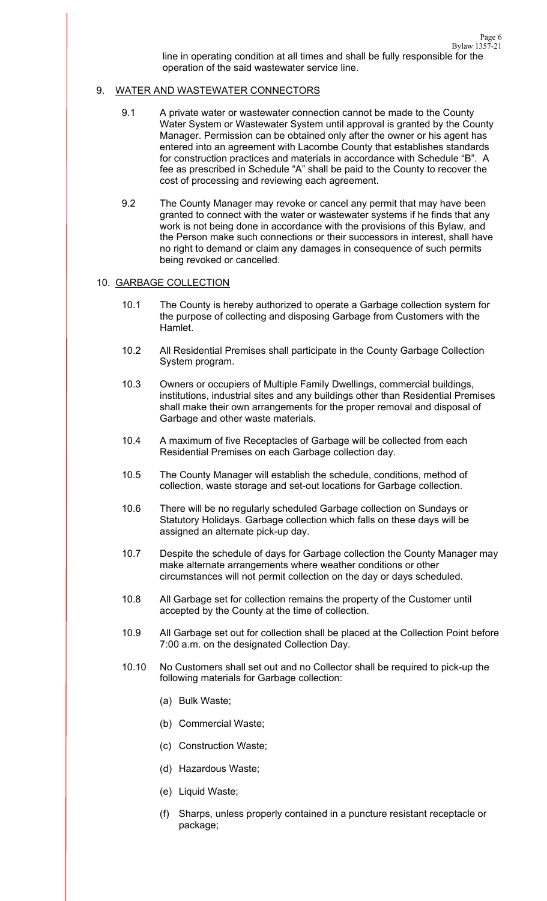## 9. WATER AND WASTEWATER CONNECTORS

- 9.1 A private water or wastewater connection cannot be made to the County Water System or Wastewater System until approval is granted by the County Manager. Permission can be obtained only after the owner or his agent has entered into an agreement with Lacombe County that establishes standards for construction practices and materials in accordance with Schedule "B". A fee as prescribed in Schedule "A" shall be paid to the County to recover the cost of processing and reviewing each agreement.
- 9.2 The County Manager may revoke or cancel any permit that may have been granted to connect with the water or wastewater systems if he finds that any work is not being done in accordance with the provisions of this Bylaw, and the Person make such connections or their successors in interest, shall have no right to demand or claim any damages in consequence of such permits being revoked or cancelled.

### 10. GARBAGE COLLECTION

- 10.1 The County is hereby authorized to operate a Garbage collection system for the purpose of collecting and disposing Garbage from Customers with the Hamlet.
- 10.2 All Residential Premises shall participate in the County Garbage Collection System program.
- 10.3 Owners or occupiers of Multiple Family Dwellings, commercial buildings, institutions, industrial sites and any buildings other than Residential Premises shall make their own arrangements for the proper removal and disposal of Garbage and other waste materials.
- 10.4 A maximum of five Receptacles of Garbage will be collected from each Residential Premises on each Garbage collection day.
- 10.5 The County Manager will establish the schedule, conditions, method of collection, waste storage and set-out locations for Garbage collection.
- 10.6 There will be no regularly scheduled Garbage collection on Sundays or Statutory Holidays. Garbage collection which falls on these days will be assigned an alternate pick-up day.
- 10.7 Despite the schedule of days for Garbage collection the County Manager may make alternate arrangements where weather conditions or other circumstances will not permit collection on the day or days scheduled.
- 10.8 All Garbage set for collection remains the property of the Customer until accepted by the County at the time of collection.
- 10.9 All Garbage set out for collection shall be placed at the Collection Point before 7:00 a.m. on the designated Collection Day.
- 10.10 No Customers shall set out and no Collector shall be required to pick-up the following materials for Garbage collection:
	- (a) Bulk Waste;
	- (b) Commercial Waste;
	- (c) Construction Waste;
	- (d) Hazardous Waste;
	- (e) Liquid Waste;
	- (f) Sharps, unless properly contained in a puncture resistant receptacle or package;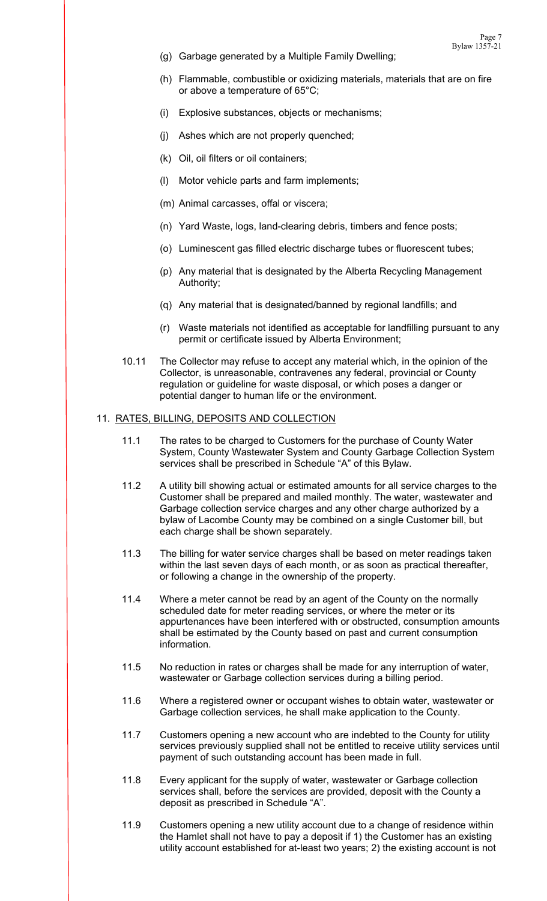- (g) Garbage generated by a Multiple Family Dwelling;
- (h) Flammable, combustible or oxidizing materials, materials that are on fire or above a temperature of 65°C;
- (i) Explosive substances, objects or mechanisms;
- (j) Ashes which are not properly quenched;
- (k) Oil, oil filters or oil containers;
- (l) Motor vehicle parts and farm implements;
- (m) Animal carcasses, offal or viscera;
- (n) Yard Waste, logs, land-clearing debris, timbers and fence posts;
- (o) Luminescent gas filled electric discharge tubes or fluorescent tubes;
- (p) Any material that is designated by the Alberta Recycling Management Authority;
- (q) Any material that is designated/banned by regional landfills; and
- (r) Waste materials not identified as acceptable for landfilling pursuant to any permit or certificate issued by Alberta Environment;
- 10.11 The Collector may refuse to accept any material which, in the opinion of the Collector, is unreasonable, contravenes any federal, provincial or County regulation or guideline for waste disposal, or which poses a danger or potential danger to human life or the environment.

### 11. RATES, BILLING, DEPOSITS AND COLLECTION

- 11.1 The rates to be charged to Customers for the purchase of County Water System, County Wastewater System and County Garbage Collection System services shall be prescribed in Schedule "A" of this Bylaw.
- 11.2 A utility bill showing actual or estimated amounts for all service charges to the Customer shall be prepared and mailed monthly. The water, wastewater and Garbage collection service charges and any other charge authorized by a bylaw of Lacombe County may be combined on a single Customer bill, but each charge shall be shown separately.
- 11.3 The billing for water service charges shall be based on meter readings taken within the last seven days of each month, or as soon as practical thereafter, or following a change in the ownership of the property.
- 11.4 Where a meter cannot be read by an agent of the County on the normally scheduled date for meter reading services, or where the meter or its appurtenances have been interfered with or obstructed, consumption amounts shall be estimated by the County based on past and current consumption information.
- 11.5 No reduction in rates or charges shall be made for any interruption of water, wastewater or Garbage collection services during a billing period.
- 11.6 Where a registered owner or occupant wishes to obtain water, wastewater or Garbage collection services, he shall make application to the County.
- 11.7 Customers opening a new account who are indebted to the County for utility services previously supplied shall not be entitled to receive utility services until payment of such outstanding account has been made in full.
- 11.8 Every applicant for the supply of water, wastewater or Garbage collection services shall, before the services are provided, deposit with the County a deposit as prescribed in Schedule "A".
- 11.9 Customers opening a new utility account due to a change of residence within the Hamlet shall not have to pay a deposit if 1) the Customer has an existing utility account established for at-least two years; 2) the existing account is not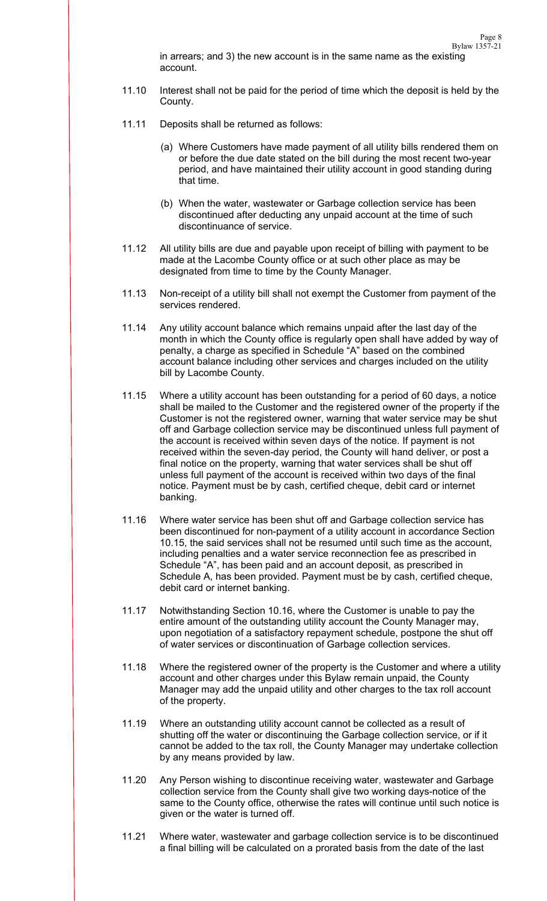- 11.10 Interest shall not be paid for the period of time which the deposit is held by the County.
- 11.11 Deposits shall be returned as follows:

account.

- (a) Where Customers have made payment of all utility bills rendered them on or before the due date stated on the bill during the most recent two-year period, and have maintained their utility account in good standing during that time.
- (b) When the water, wastewater or Garbage collection service has been discontinued after deducting any unpaid account at the time of such discontinuance of service.
- 11.12 All utility bills are due and payable upon receipt of billing with payment to be made at the Lacombe County office or at such other place as may be designated from time to time by the County Manager.
- 11.13 Non-receipt of a utility bill shall not exempt the Customer from payment of the services rendered.
- 11.14 Any utility account balance which remains unpaid after the last day of the month in which the County office is regularly open shall have added by way of penalty, a charge as specified in Schedule "A" based on the combined account balance including other services and charges included on the utility bill by Lacombe County.
- 11.15 Where a utility account has been outstanding for a period of 60 days, a notice shall be mailed to the Customer and the registered owner of the property if the Customer is not the registered owner, warning that water service may be shut off and Garbage collection service may be discontinued unless full payment of the account is received within seven days of the notice. If payment is not received within the seven-day period, the County will hand deliver, or post a final notice on the property, warning that water services shall be shut off unless full payment of the account is received within two days of the final notice. Payment must be by cash, certified cheque, debit card or internet banking.
- 11.16 Where water service has been shut off and Garbage collection service has been discontinued for non-payment of a utility account in accordance Section 10.15, the said services shall not be resumed until such time as the account, including penalties and a water service reconnection fee as prescribed in Schedule "A", has been paid and an account deposit, as prescribed in Schedule A, has been provided. Payment must be by cash, certified cheque, debit card or internet banking.
- 11.17 Notwithstanding Section 10.16, where the Customer is unable to pay the entire amount of the outstanding utility account the County Manager may, upon negotiation of a satisfactory repayment schedule, postpone the shut off of water services or discontinuation of Garbage collection services.
- 11.18 Where the registered owner of the property is the Customer and where a utility account and other charges under this Bylaw remain unpaid, the County Manager may add the unpaid utility and other charges to the tax roll account of the property.
- 11.19 Where an outstanding utility account cannot be collected as a result of shutting off the water or discontinuing the Garbage collection service, or if it cannot be added to the tax roll, the County Manager may undertake collection by any means provided by law.
- 11.20 Any Person wishing to discontinue receiving water, wastewater and Garbage collection service from the County shall give two working days-notice of the same to the County office, otherwise the rates will continue until such notice is given or the water is turned off.
- 11.21 Where water, wastewater and garbage collection service is to be discontinued a final billing will be calculated on a prorated basis from the date of the last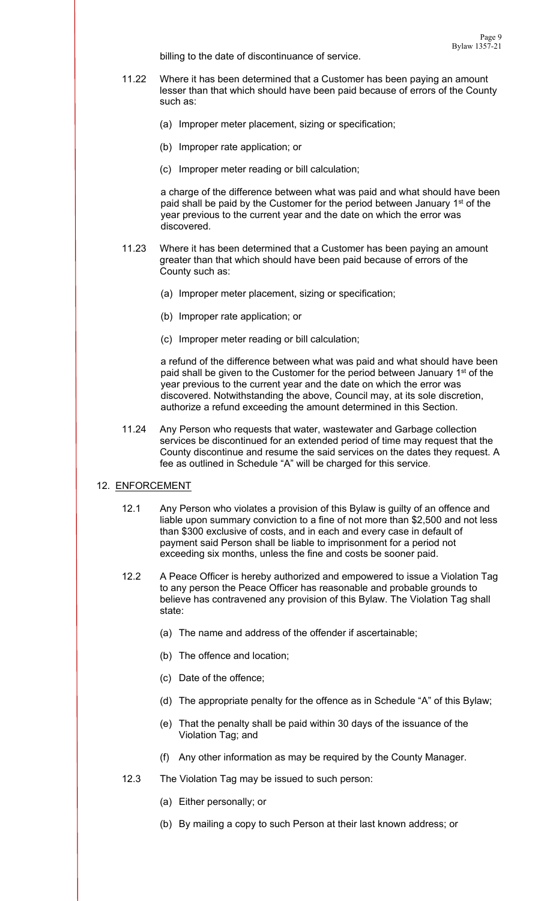billing to the date of discontinuance of service.

- 11.22 Where it has been determined that a Customer has been paying an amount lesser than that which should have been paid because of errors of the County such as:
	- (a) Improper meter placement, sizing or specification;
	- (b) Improper rate application; or
	- (c) Improper meter reading or bill calculation;

a charge of the difference between what was paid and what should have been paid shall be paid by the Customer for the period between January 1<sup>st</sup> of the year previous to the current year and the date on which the error was discovered.

- 11.23 Where it has been determined that a Customer has been paying an amount greater than that which should have been paid because of errors of the County such as:
	- (a) Improper meter placement, sizing or specification;
	- (b) Improper rate application; or
	- (c) Improper meter reading or bill calculation;

a refund of the difference between what was paid and what should have been paid shall be given to the Customer for the period between January 1<sup>st</sup> of the year previous to the current year and the date on which the error was discovered. Notwithstanding the above, Council may, at its sole discretion, authorize a refund exceeding the amount determined in this Section.

11.24 Any Person who requests that water, wastewater and Garbage collection services be discontinued for an extended period of time may request that the County discontinue and resume the said services on the dates they request. A fee as outlined in Schedule "A" will be charged for this service.

## 12. ENFORCEMENT

- 12.1 Any Person who violates a provision of this Bylaw is guilty of an offence and liable upon summary conviction to a fine of not more than \$2,500 and not less than \$300 exclusive of costs, and in each and every case in default of payment said Person shall be liable to imprisonment for a period not exceeding six months, unless the fine and costs be sooner paid.
- 12.2 A Peace Officer is hereby authorized and empowered to issue a Violation Tag to any person the Peace Officer has reasonable and probable grounds to believe has contravened any provision of this Bylaw. The Violation Tag shall state:
	- (a) The name and address of the offender if ascertainable;
	- (b) The offence and location;
	- (c) Date of the offence;
	- (d) The appropriate penalty for the offence as in Schedule "A" of this Bylaw;
	- (e) That the penalty shall be paid within 30 days of the issuance of the Violation Tag; and
	- (f) Any other information as may be required by the County Manager.
- 12.3 The Violation Tag may be issued to such person:
	- (a) Either personally; or
	- (b) By mailing a copy to such Person at their last known address; or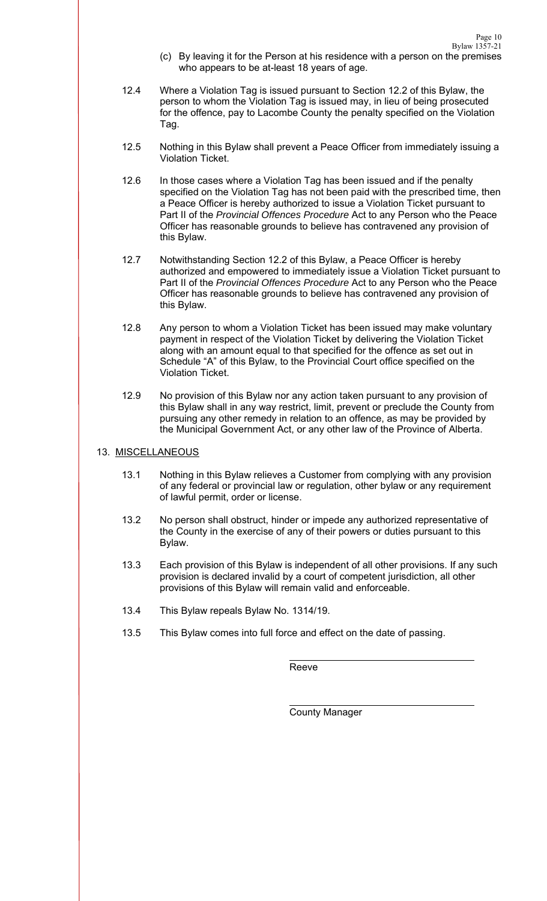- (c) By leaving it for the Person at his residence with a person on the premises who appears to be at-least 18 years of age.
- 12.4 Where a Violation Tag is issued pursuant to Section 12.2 of this Bylaw, the person to whom the Violation Tag is issued may, in lieu of being prosecuted for the offence, pay to Lacombe County the penalty specified on the Violation Tag.
- 12.5 Nothing in this Bylaw shall prevent a Peace Officer from immediately issuing a Violation Ticket.
- 12.6 In those cases where a Violation Tag has been issued and if the penalty specified on the Violation Tag has not been paid with the prescribed time, then a Peace Officer is hereby authorized to issue a Violation Ticket pursuant to Part II of the *Provincial Offences Procedure* Act to any Person who the Peace Officer has reasonable grounds to believe has contravened any provision of this Bylaw.
- 12.7 Notwithstanding Section 12.2 of this Bylaw, a Peace Officer is hereby authorized and empowered to immediately issue a Violation Ticket pursuant to Part II of the *Provincial Offences Procedure* Act to any Person who the Peace Officer has reasonable grounds to believe has contravened any provision of this Bylaw.
- 12.8 Any person to whom a Violation Ticket has been issued may make voluntary payment in respect of the Violation Ticket by delivering the Violation Ticket along with an amount equal to that specified for the offence as set out in Schedule "A" of this Bylaw, to the Provincial Court office specified on the Violation Ticket.
- 12.9 No provision of this Bylaw nor any action taken pursuant to any provision of this Bylaw shall in any way restrict, limit, prevent or preclude the County from pursuing any other remedy in relation to an offence, as may be provided by the Municipal Government Act, or any other law of the Province of Alberta.

## 13. MISCELLANEOUS

- 13.1 Nothing in this Bylaw relieves a Customer from complying with any provision of any federal or provincial law or regulation, other bylaw or any requirement of lawful permit, order or license.
- 13.2 No person shall obstruct, hinder or impede any authorized representative of the County in the exercise of any of their powers or duties pursuant to this Bylaw.
- 13.3 Each provision of this Bylaw is independent of all other provisions. If any such provision is declared invalid by a court of competent jurisdiction, all other provisions of this Bylaw will remain valid and enforceable.
- 13.4 This Bylaw repeals Bylaw No. 1314/19.
- 13.5 This Bylaw comes into full force and effect on the date of passing.

Reeve

County Manager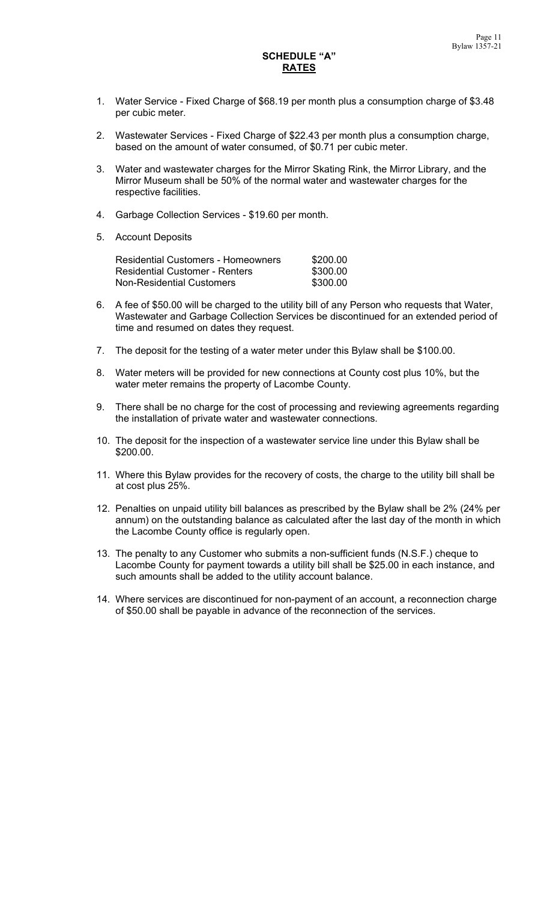## **SCHEDULE "A" RATES**

- 1. Water Service Fixed Charge of \$68.19 per month plus a consumption charge of \$3.48 per cubic meter.
- 2. Wastewater Services Fixed Charge of \$22.43 per month plus a consumption charge, based on the amount of water consumed, of \$0.71 per cubic meter.
- 3. Water and wastewater charges for the Mirror Skating Rink, the Mirror Library, and the Mirror Museum shall be 50% of the normal water and wastewater charges for the respective facilities.
- 4. Garbage Collection Services \$19.60 per month.
- 5. Account Deposits

| <b>Residential Customers - Homeowners</b> | \$200.00 |
|-------------------------------------------|----------|
| <b>Residential Customer - Renters</b>     | \$300.00 |
| <b>Non-Residential Customers</b>          | \$300.00 |

- 6. A fee of \$50.00 will be charged to the utility bill of any Person who requests that Water, Wastewater and Garbage Collection Services be discontinued for an extended period of time and resumed on dates they request.
- 7. The deposit for the testing of a water meter under this Bylaw shall be \$100.00.
- 8. Water meters will be provided for new connections at County cost plus 10%, but the water meter remains the property of Lacombe County.
- 9. There shall be no charge for the cost of processing and reviewing agreements regarding the installation of private water and wastewater connections.
- 10. The deposit for the inspection of a wastewater service line under this Bylaw shall be \$200.00.
- 11. Where this Bylaw provides for the recovery of costs, the charge to the utility bill shall be at cost plus 25%.
- 12. Penalties on unpaid utility bill balances as prescribed by the Bylaw shall be 2% (24% per annum) on the outstanding balance as calculated after the last day of the month in which the Lacombe County office is regularly open.
- 13. The penalty to any Customer who submits a non-sufficient funds (N.S.F.) cheque to Lacombe County for payment towards a utility bill shall be \$25.00 in each instance, and such amounts shall be added to the utility account balance.
- 14. Where services are discontinued for non-payment of an account, a reconnection charge of \$50.00 shall be payable in advance of the reconnection of the services.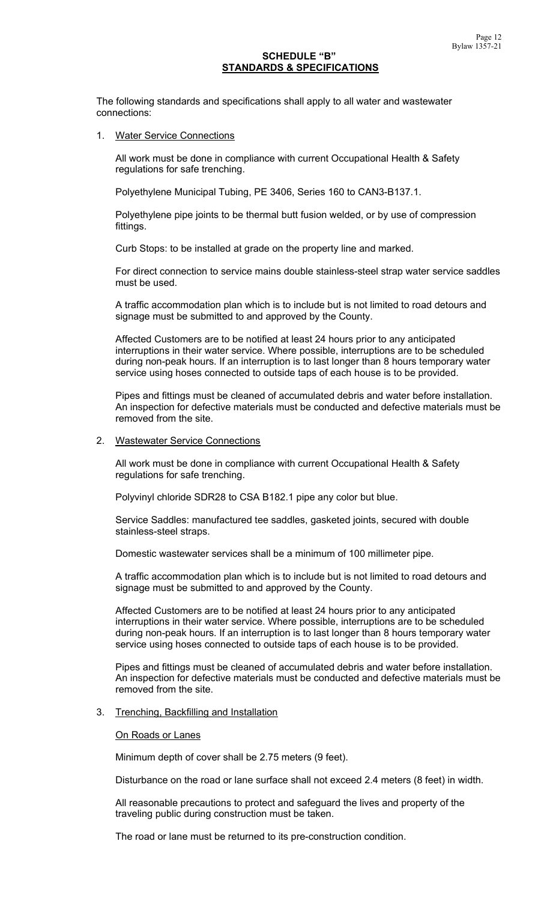## **SCHEDULE "B" STANDARDS & SPECIFICATIONS**

The following standards and specifications shall apply to all water and wastewater connections:

1. Water Service Connections

 All work must be done in compliance with current Occupational Health & Safety regulations for safe trenching.

Polyethylene Municipal Tubing, PE 3406, Series 160 to CAN3-B137.1.

 Polyethylene pipe joints to be thermal butt fusion welded, or by use of compression fittings.

Curb Stops: to be installed at grade on the property line and marked.

 For direct connection to service mains double stainless-steel strap water service saddles must be used.

 A traffic accommodation plan which is to include but is not limited to road detours and signage must be submitted to and approved by the County.

 Affected Customers are to be notified at least 24 hours prior to any anticipated interruptions in their water service. Where possible, interruptions are to be scheduled during non-peak hours. If an interruption is to last longer than 8 hours temporary water service using hoses connected to outside taps of each house is to be provided.

 Pipes and fittings must be cleaned of accumulated debris and water before installation. An inspection for defective materials must be conducted and defective materials must be removed from the site.

### 2. Wastewater Service Connections

 All work must be done in compliance with current Occupational Health & Safety regulations for safe trenching.

Polyvinyl chloride SDR28 to CSA B182.1 pipe any color but blue.

 Service Saddles: manufactured tee saddles, gasketed joints, secured with double stainless-steel straps.

Domestic wastewater services shall be a minimum of 100 millimeter pipe.

 A traffic accommodation plan which is to include but is not limited to road detours and signage must be submitted to and approved by the County.

 Affected Customers are to be notified at least 24 hours prior to any anticipated interruptions in their water service. Where possible, interruptions are to be scheduled during non-peak hours. If an interruption is to last longer than 8 hours temporary water service using hoses connected to outside taps of each house is to be provided.

 Pipes and fittings must be cleaned of accumulated debris and water before installation. An inspection for defective materials must be conducted and defective materials must be removed from the site.

3. Trenching, Backfilling and Installation

### On Roads or Lanes

Minimum depth of cover shall be 2.75 meters (9 feet).

Disturbance on the road or lane surface shall not exceed 2.4 meters (8 feet) in width.

 All reasonable precautions to protect and safeguard the lives and property of the traveling public during construction must be taken.

The road or lane must be returned to its pre-construction condition.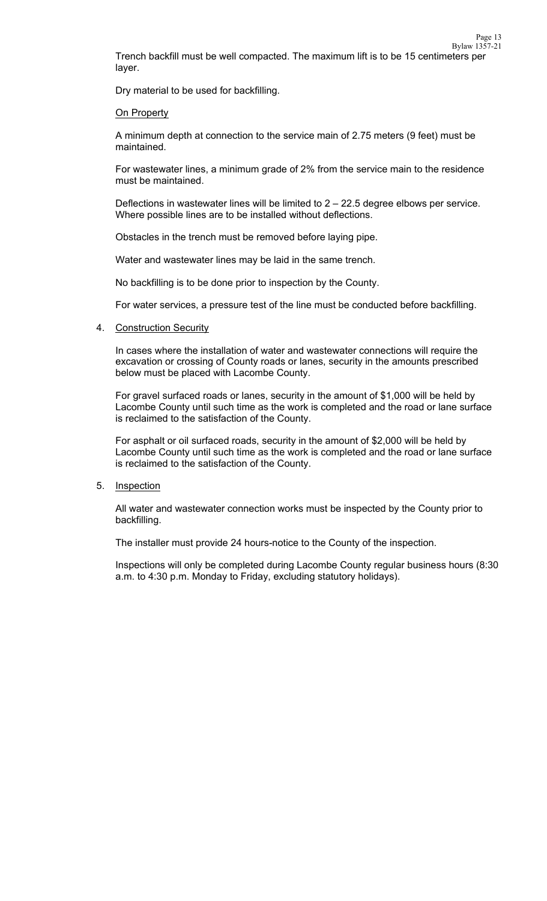Trench backfill must be well compacted. The maximum lift is to be 15 centimeters per layer.

Dry material to be used for backfilling.

#### **On Property**

 A minimum depth at connection to the service main of 2.75 meters (9 feet) must be maintained.

 For wastewater lines, a minimum grade of 2% from the service main to the residence must be maintained.

Deflections in wastewater lines will be limited to  $2 - 22.5$  degree elbows per service. Where possible lines are to be installed without deflections.

Obstacles in the trench must be removed before laying pipe.

Water and wastewater lines may be laid in the same trench.

No backfilling is to be done prior to inspection by the County.

For water services, a pressure test of the line must be conducted before backfilling.

#### 4. Construction Security

 In cases where the installation of water and wastewater connections will require the excavation or crossing of County roads or lanes, security in the amounts prescribed below must be placed with Lacombe County.

 For gravel surfaced roads or lanes, security in the amount of \$1,000 will be held by Lacombe County until such time as the work is completed and the road or lane surface is reclaimed to the satisfaction of the County.

 For asphalt or oil surfaced roads, security in the amount of \$2,000 will be held by Lacombe County until such time as the work is completed and the road or lane surface is reclaimed to the satisfaction of the County.

### 5. Inspection

 All water and wastewater connection works must be inspected by the County prior to backfilling.

The installer must provide 24 hours-notice to the County of the inspection.

 Inspections will only be completed during Lacombe County regular business hours (8:30 a.m. to 4:30 p.m. Monday to Friday, excluding statutory holidays).